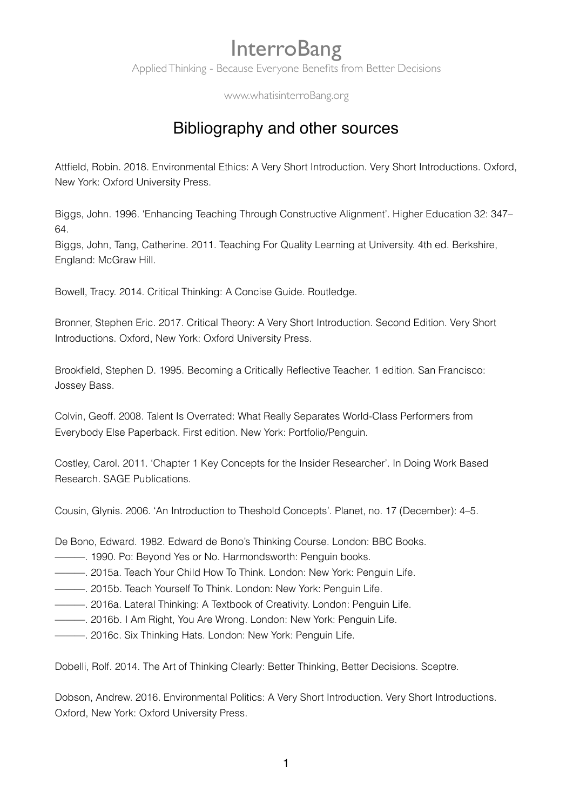Applied Thinking - Because Everyone Benefits from Better Decisions

www.whatisinterroBang.org

### Bibliography and other sources

Attfield, Robin. 2018. Environmental Ethics: A Very Short Introduction. Very Short Introductions. Oxford, New York: Oxford University Press.

Biggs, John. 1996. 'Enhancing Teaching Through Constructive Alignment'. Higher Education 32: 347– 64.

Biggs, John, Tang, Catherine. 2011. Teaching For Quality Learning at University. 4th ed. Berkshire, England: McGraw Hill.

Bowell, Tracy. 2014. Critical Thinking: A Concise Guide. Routledge.

Bronner, Stephen Eric. 2017. Critical Theory: A Very Short Introduction. Second Edition. Very Short Introductions. Oxford, New York: Oxford University Press.

Brookfield, Stephen D. 1995. Becoming a Critically Reflective Teacher. 1 edition. San Francisco: Jossey Bass.

Colvin, Geoff. 2008. Talent Is Overrated: What Really Separates World-Class Performers from Everybody Else Paperback. First edition. New York: Portfolio/Penguin.

Costley, Carol. 2011. 'Chapter 1 Key Concepts for the Insider Researcher'. In Doing Work Based Research. SAGE Publications.

Cousin, Glynis. 2006. 'An Introduction to Theshold Concepts'. Planet, no. 17 (December): 4–5.

De Bono, Edward. 1982. Edward de Bono's Thinking Course. London: BBC Books.

- ———. 1990. Po: Beyond Yes or No. Harmondsworth: Penguin books.
- ———. 2015a. Teach Your Child How To Think. London: New York: Penguin Life.
- ———. 2015b. Teach Yourself To Think. London: New York: Penguin Life.
- ———. 2016a. Lateral Thinking: A Textbook of Creativity. London: Penguin Life.
- ———. 2016b. I Am Right, You Are Wrong. London: New York: Penguin Life.
- ———. 2016c. Six Thinking Hats. London: New York: Penguin Life.

Dobelli, Rolf. 2014. The Art of Thinking Clearly: Better Thinking, Better Decisions. Sceptre.

Dobson, Andrew. 2016. Environmental Politics: A Very Short Introduction. Very Short Introductions. Oxford, New York: Oxford University Press.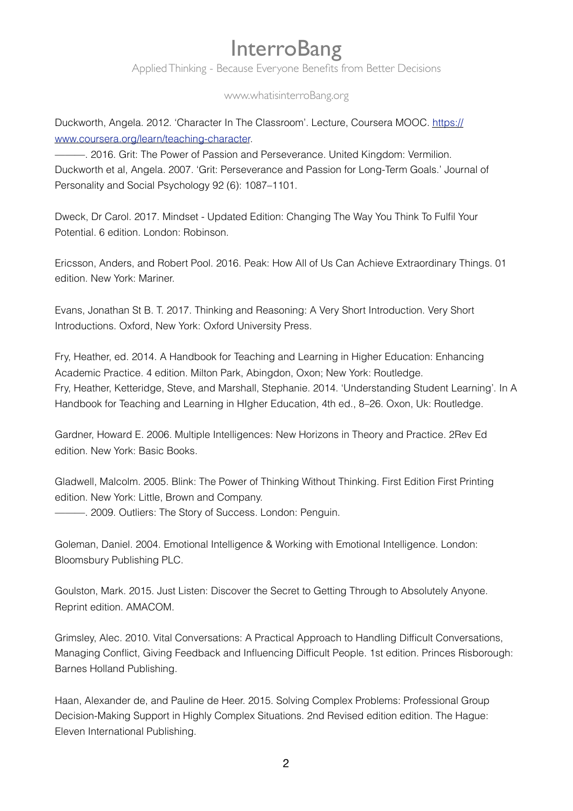Applied Thinking - Because Everyone Benefits from Better Decisions

www.whatisinterroBang.org

Duckworth, Angela. 2012. 'Character In The Classroom'. Lecture, Coursera MOOC. [https://](https://www.coursera.org/learn/teaching-character) [www.coursera.org/learn/teaching-character.](https://www.coursera.org/learn/teaching-character)

———. 2016. Grit: The Power of Passion and Perseverance. United Kingdom: Vermilion. Duckworth et al, Angela. 2007. 'Grit: Perseverance and Passion for Long-Term Goals.' Journal of Personality and Social Psychology 92 (6): 1087–1101.

Dweck, Dr Carol. 2017. Mindset - Updated Edition: Changing The Way You Think To Fulfil Your Potential. 6 edition. London: Robinson.

Ericsson, Anders, and Robert Pool. 2016. Peak: How All of Us Can Achieve Extraordinary Things. 01 edition. New York: Mariner.

Evans, Jonathan St B. T. 2017. Thinking and Reasoning: A Very Short Introduction. Very Short Introductions. Oxford, New York: Oxford University Press.

Fry, Heather, ed. 2014. A Handbook for Teaching and Learning in Higher Education: Enhancing Academic Practice. 4 edition. Milton Park, Abingdon, Oxon; New York: Routledge. Fry, Heather, Ketteridge, Steve, and Marshall, Stephanie. 2014. 'Understanding Student Learning'. In A Handbook for Teaching and Learning in HIgher Education, 4th ed., 8–26. Oxon, Uk: Routledge.

Gardner, Howard E. 2006. Multiple Intelligences: New Horizons in Theory and Practice. 2Rev Ed edition. New York: Basic Books.

Gladwell, Malcolm. 2005. Blink: The Power of Thinking Without Thinking. First Edition First Printing edition. New York: Little, Brown and Company.

———. 2009. Outliers: The Story of Success. London: Penguin.

Goleman, Daniel. 2004. Emotional Intelligence & Working with Emotional Intelligence. London: Bloomsbury Publishing PLC.

Goulston, Mark. 2015. Just Listen: Discover the Secret to Getting Through to Absolutely Anyone. Reprint edition. AMACOM.

Grimsley, Alec. 2010. Vital Conversations: A Practical Approach to Handling Difficult Conversations, Managing Conflict, Giving Feedback and Influencing Difficult People. 1st edition. Princes Risborough: Barnes Holland Publishing.

Haan, Alexander de, and Pauline de Heer. 2015. Solving Complex Problems: Professional Group Decision-Making Support in Highly Complex Situations. 2nd Revised edition edition. The Hague: Eleven International Publishing.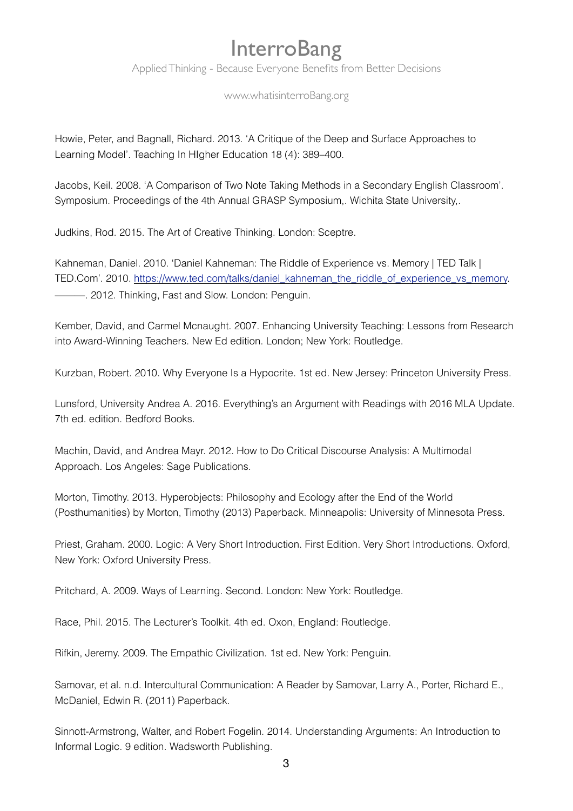Applied Thinking - Because Everyone Benefits from Better Decisions

### www.whatisinterroBang.org

Howie, Peter, and Bagnall, Richard. 2013. 'A Critique of the Deep and Surface Approaches to Learning Model'. Teaching In HIgher Education 18 (4): 389–400.

Jacobs, Keil. 2008. 'A Comparison of Two Note Taking Methods in a Secondary English Classroom'. Symposium. Proceedings of the 4th Annual GRASP Symposium,. Wichita State University,.

Judkins, Rod. 2015. The Art of Creative Thinking. London: Sceptre.

Kahneman, Daniel. 2010. 'Daniel Kahneman: The Riddle of Experience vs. Memory | TED Talk | TED.Com'. 2010. [https://www.ted.com/talks/daniel\\_kahneman\\_the\\_riddle\\_of\\_experience\\_vs\\_memory](https://www.ted.com/talks/daniel_kahneman_the_riddle_of_experience_vs_memory).  $-$ . 2012. Thinking, Fast and Slow. London: Penguin.

Kember, David, and Carmel Mcnaught. 2007. Enhancing University Teaching: Lessons from Research into Award-Winning Teachers. New Ed edition. London; New York: Routledge.

Kurzban, Robert. 2010. Why Everyone Is a Hypocrite. 1st ed. New Jersey: Princeton University Press.

Lunsford, University Andrea A. 2016. Everything's an Argument with Readings with 2016 MLA Update. 7th ed. edition. Bedford Books.

Machin, David, and Andrea Mayr. 2012. How to Do Critical Discourse Analysis: A Multimodal Approach. Los Angeles: Sage Publications.

Morton, Timothy. 2013. Hyperobjects: Philosophy and Ecology after the End of the World (Posthumanities) by Morton, Timothy (2013) Paperback. Minneapolis: University of Minnesota Press.

Priest, Graham. 2000. Logic: A Very Short Introduction. First Edition. Very Short Introductions. Oxford, New York: Oxford University Press.

Pritchard, A. 2009. Ways of Learning. Second. London: New York: Routledge.

Race, Phil. 2015. The Lecturer's Toolkit. 4th ed. Oxon, England: Routledge.

Rifkin, Jeremy. 2009. The Empathic Civilization. 1st ed. New York: Penguin.

Samovar, et al. n.d. Intercultural Communication: A Reader by Samovar, Larry A., Porter, Richard E., McDaniel, Edwin R. (2011) Paperback.

Sinnott-Armstrong, Walter, and Robert Fogelin. 2014. Understanding Arguments: An Introduction to Informal Logic. 9 edition. Wadsworth Publishing.